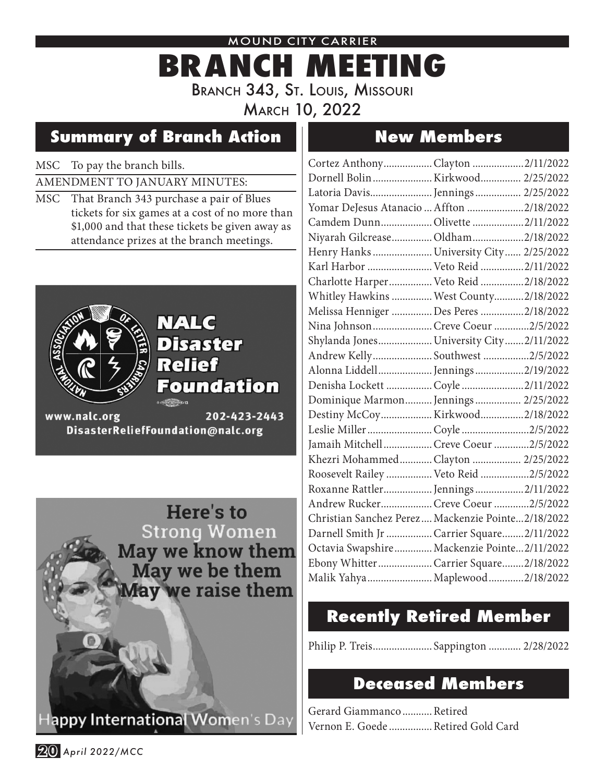### MOUND CITY CARRIER

# **BRANCH MEETING** BRANCH 343, ST. LOUIS, MISSOURI March 10, 2022

# **Summary of Branch Action New Members**

## MSC To pay the branch bills.

## AMENDMENT TO JANUARY MINUTES:

MSC That Branch 343 purchase a pair of Blues tickets for six games at a cost of no more than \$1,000 and that these tickets be given away as attendance prizes at the branch meetings.



## NALC **Disaster Relief Foundation**

www.nalc.org 202-423-2443 DisasterReliefFoundation@nalc.org

> Here's to **Strong Women** May we know them May we be them lay we raise them

lappy International Women's Day

| Cortez AnthonyClayton 2/11/2022                    |  |
|----------------------------------------------------|--|
| Dornell Bolin  Kirkwood  2/25/2022                 |  |
| Latoria Davis Jennings 2/25/2022                   |  |
| Yomar DeJesus Atanacio  Affton 2/18/2022           |  |
| Camdem Dunn Olivette  2/11/2022                    |  |
| Niyarah Gilcrease  Oldham  2/18/2022               |  |
| Henry Hanks  University City  2/25/2022            |  |
| Karl Harbor  Veto Reid 2/11/2022                   |  |
| Charlotte Harper Veto Reid 2/18/2022               |  |
| Whitley Hawkins  West County 2/18/2022             |  |
| Melissa Henniger  Des Peres 2/18/2022              |  |
| Nina Johnson Creve Coeur2/5/2022                   |  |
| Shylanda Jones University City2/11/2022            |  |
| Andrew Kelly Southwest 2/5/2022                    |  |
| Alonna Liddell Jennings2/19/2022                   |  |
| Denisha Lockett  Coyle  2/11/2022                  |  |
| Dominique Marmon Jennings 2/25/2022                |  |
| Destiny McCoy Kirkwood2/18/2022                    |  |
| Leslie Miller  Coyle 2/5/2022                      |  |
| Jamaih Mitchell Creve Coeur2/5/2022                |  |
| Khezri MohammedClayton  2/25/2022                  |  |
| Roosevelt Railey  Veto Reid 2/5/2022               |  |
| Roxanne Rattler Jennings 2/11/2022                 |  |
| Andrew Rucker Creve Coeur 2/5/2022                 |  |
| Christian Sanchez Perez  Mackenzie Pointe2/18/2022 |  |
| Darnell Smith Jr  Carrier Square 2/11/2022         |  |
| Octavia Swapshire Mackenzie Pointe2/11/2022        |  |
| Ebony Whitter  Carrier Square  2/18/2022           |  |
| Malik Yahya  Maplewood  2/18/2022                  |  |
|                                                    |  |

# **Recently Retired Member**

Philip P. Treis...................... Sappington ............ 2/28/2022

## **Deceased Members**

Gerard Giammanco...........Retired Vernon E. Goede ................ Retired Gold Card